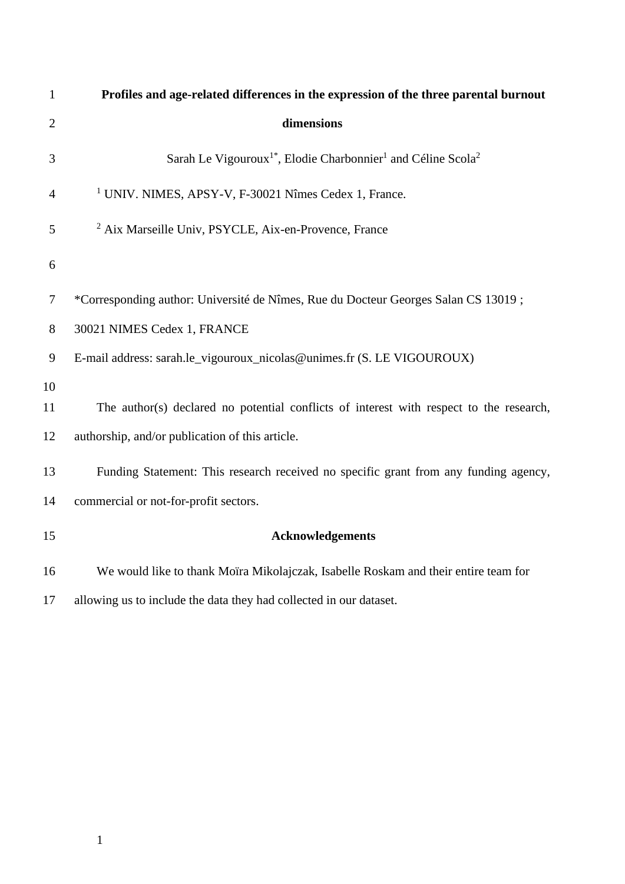| $\mathbf{1}$   | Profiles and age-related differences in the expression of the three parental burnout             |
|----------------|--------------------------------------------------------------------------------------------------|
| $\overline{2}$ | dimensions                                                                                       |
| 3              | Sarah Le Vigouroux <sup>1*</sup> , Elodie Charbonnier <sup>1</sup> and Céline Scola <sup>2</sup> |
| 4              | <sup>1</sup> UNIV. NIMES, APSY-V, F-30021 Nîmes Cedex 1, France.                                 |
| 5              | <sup>2</sup> Aix Marseille Univ, PSYCLE, Aix-en-Provence, France                                 |
| 6              |                                                                                                  |
| 7              | *Corresponding author: Université de Nîmes, Rue du Docteur Georges Salan CS 13019;               |
| 8              | 30021 NIMES Cedex 1, FRANCE                                                                      |
| 9              | E-mail address: sarah.le_vigouroux_nicolas@unimes.fr (S. LE VIGOUROUX)                           |
| 10             |                                                                                                  |
| 11             | The author(s) declared no potential conflicts of interest with respect to the research,          |
| 12             | authorship, and/or publication of this article.                                                  |
| 13             | Funding Statement: This research received no specific grant from any funding agency,             |
| 14             | commercial or not-for-profit sectors.                                                            |
| 15             | <b>Acknowledgements</b>                                                                          |
| 16             | We would like to thank Moïra Mikolajczak, Isabelle Roskam and their entire team for              |
| 17             | allowing us to include the data they had collected in our dataset.                               |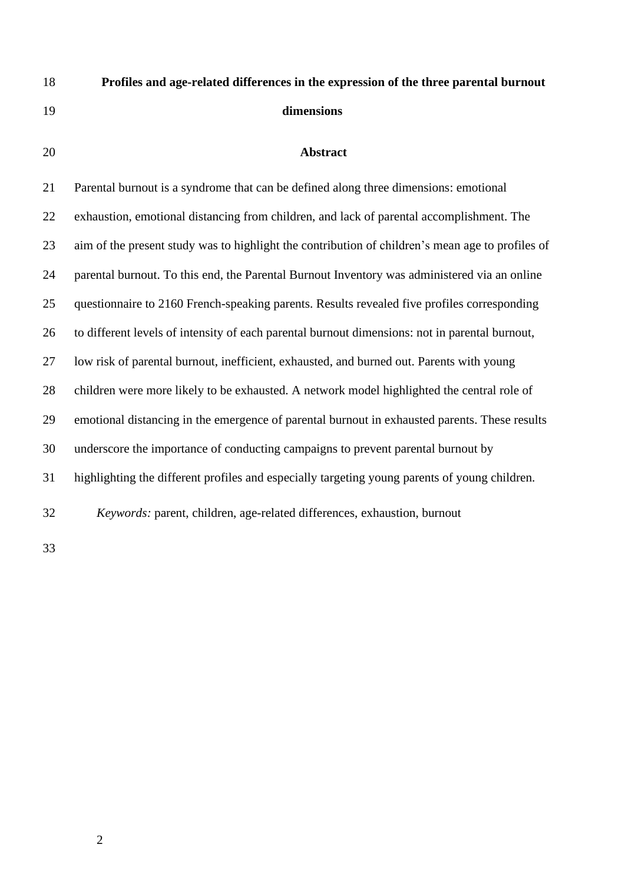| 18 | Profiles and age-related differences in the expression of the three parental burnout             |
|----|--------------------------------------------------------------------------------------------------|
| 19 | dimensions                                                                                       |
| 20 | <b>Abstract</b>                                                                                  |
| 21 | Parental burnout is a syndrome that can be defined along three dimensions: emotional             |
| 22 | exhaustion, emotional distancing from children, and lack of parental accomplishment. The         |
| 23 | aim of the present study was to highlight the contribution of children's mean age to profiles of |
| 24 | parental burnout. To this end, the Parental Burnout Inventory was administered via an online     |
| 25 | questionnaire to 2160 French-speaking parents. Results revealed five profiles corresponding      |
| 26 | to different levels of intensity of each parental burnout dimensions: not in parental burnout,   |
| 27 | low risk of parental burnout, inefficient, exhausted, and burned out. Parents with young         |
| 28 | children were more likely to be exhausted. A network model highlighted the central role of       |
| 29 | emotional distancing in the emergence of parental burnout in exhausted parents. These results    |
| 30 | underscore the importance of conducting campaigns to prevent parental burnout by                 |
| 31 | highlighting the different profiles and especially targeting young parents of young children.    |
| 32 | Keywords: parent, children, age-related differences, exhaustion, burnout                         |
| 33 |                                                                                                  |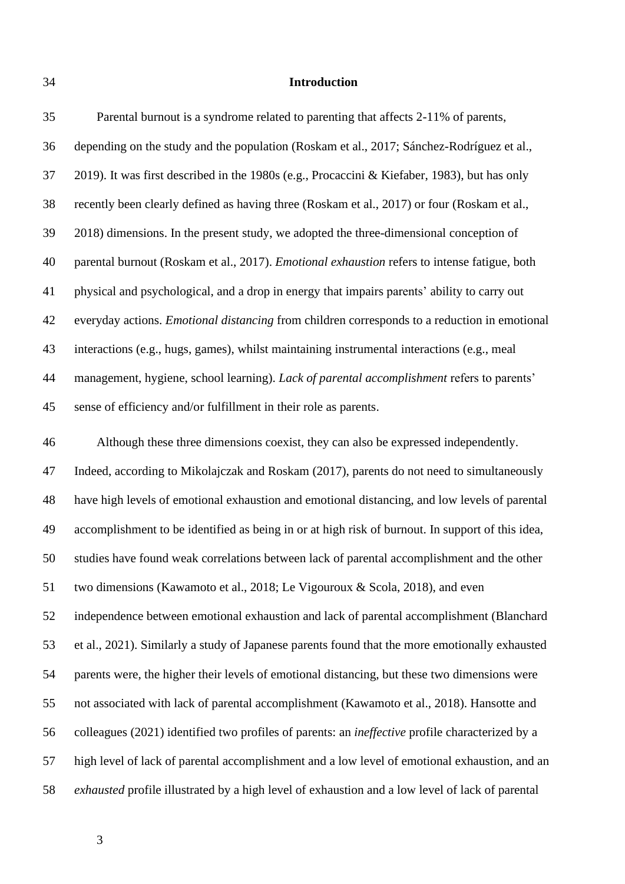#### **Introduction**

 depending on the study and the population (Roskam et al., 2017; Sánchez-Rodríguez et al., 2019). It was first described in the 1980s (e.g., Procaccini & Kiefaber, 1983), but has only recently been clearly defined as having three (Roskam et al., 2017) or four (Roskam et al., 2018) dimensions. In the present study, we adopted the three-dimensional conception of parental burnout (Roskam et al., 2017). *Emotional exhaustion* refers to intense fatigue, both physical and psychological, and a drop in energy that impairs parents' ability to carry out everyday actions. *Emotional distancing* from children corresponds to a reduction in emotional interactions (e.g., hugs, games), whilst maintaining instrumental interactions (e.g., meal management, hygiene, school learning). *Lack of parental accomplishment* refers to parents' sense of efficiency and/or fulfillment in their role as parents.

 Although these three dimensions coexist, they can also be expressed independently. Indeed, according to Mikolajczak and Roskam (2017), parents do not need to simultaneously have high levels of emotional exhaustion and emotional distancing, and low levels of parental accomplishment to be identified as being in or at high risk of burnout. In support of this idea, studies have found weak correlations between lack of parental accomplishment and the other two dimensions (Kawamoto et al., 2018; Le Vigouroux & Scola, 2018), and even independence between emotional exhaustion and lack of parental accomplishment (Blanchard et al., 2021). Similarly a study of Japanese parents found that the more emotionally exhausted parents were, the higher their levels of emotional distancing, but these two dimensions were not associated with lack of parental accomplishment (Kawamoto et al., 2018). Hansotte and colleagues (2021) identified two profiles of parents: an *ineffective* profile characterized by a high level of lack of parental accomplishment and a low level of emotional exhaustion, and an *exhausted* profile illustrated by a high level of exhaustion and a low level of lack of parental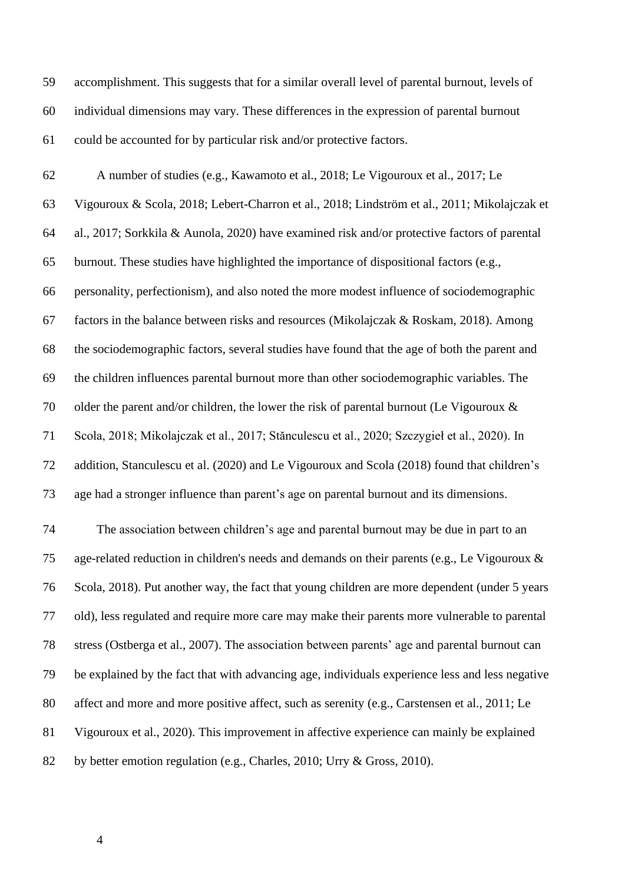accomplishment. This suggests that for a similar overall level of parental burnout, levels of individual dimensions may vary. These differences in the expression of parental burnout could be accounted for by particular risk and/or protective factors.

 A number of studies (e.g., Kawamoto et al., 2018; Le Vigouroux et al., 2017; Le Vigouroux & Scola, 2018; Lebert-Charron et al., 2018; Lindström et al., 2011; Mikolajczak et al., 2017; Sorkkila & Aunola, 2020) have examined risk and/or protective factors of parental burnout. These studies have highlighted the importance of dispositional factors (e.g., personality, perfectionism), and also noted the more modest influence of sociodemographic factors in the balance between risks and resources (Mikolajczak & Roskam, 2018). Among the sociodemographic factors, several studies have found that the age of both the parent and the children influences parental burnout more than other sociodemographic variables. The 70 older the parent and/or children, the lower the risk of parental burnout (Le Vigouroux  $\&$  Scola, 2018; Mikolajczak et al., 2017; Stănculescu et al., 2020; Szczygieł et al., 2020). In addition, Stanculescu et al. (2020) and Le Vigouroux and Scola (2018) found that children's age had a stronger influence than parent's age on parental burnout and its dimensions. The association between children's age and parental burnout may be due in part to an age-related reduction in children's needs and demands on their parents (e.g., Le Vigouroux &

 Scola, 2018). Put another way, the fact that young children are more dependent (under 5 years old), less regulated and require more care may make their parents more vulnerable to parental stress (Ostberga et al., 2007). The association between parents' age and parental burnout can be explained by the fact that with advancing age, individuals experience less and less negative affect and more and more positive affect, such as serenity (e.g., Carstensen et al., 2011; Le Vigouroux et al., 2020). This improvement in affective experience can mainly be explained by better emotion regulation (e.g., Charles, 2010; Urry & Gross, 2010).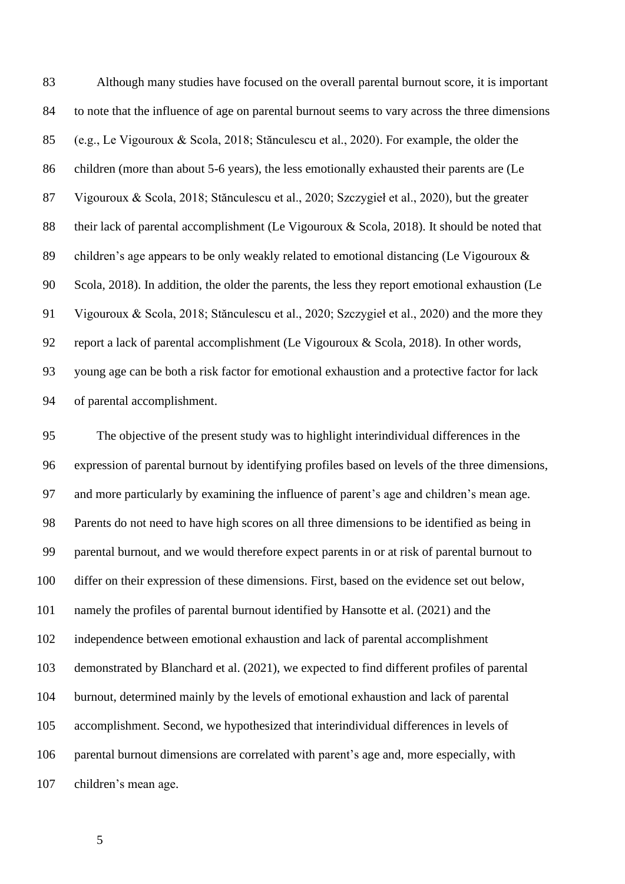Although many studies have focused on the overall parental burnout score, it is important to note that the influence of age on parental burnout seems to vary across the three dimensions (e.g., Le Vigouroux & Scola, 2018; Stănculescu et al., 2020). For example, the older the children (more than about 5-6 years), the less emotionally exhausted their parents are (Le Vigouroux & Scola, 2018; Stănculescu et al., 2020; Szczygieł et al., 2020), but the greater their lack of parental accomplishment (Le Vigouroux & Scola, 2018). It should be noted that children's age appears to be only weakly related to emotional distancing (Le Vigouroux & Scola, 2018). In addition, the older the parents, the less they report emotional exhaustion (Le Vigouroux & Scola, 2018; Stănculescu et al., 2020; Szczygieł et al., 2020) and the more they report a lack of parental accomplishment (Le Vigouroux & Scola, 2018). In other words, young age can be both a risk factor for emotional exhaustion and a protective factor for lack of parental accomplishment.

 The objective of the present study was to highlight interindividual differences in the expression of parental burnout by identifying profiles based on levels of the three dimensions, and more particularly by examining the influence of parent's age and children's mean age. Parents do not need to have high scores on all three dimensions to be identified as being in parental burnout, and we would therefore expect parents in or at risk of parental burnout to differ on their expression of these dimensions. First, based on the evidence set out below, namely the profiles of parental burnout identified by Hansotte et al. (2021) and the independence between emotional exhaustion and lack of parental accomplishment demonstrated by Blanchard et al. (2021), we expected to find different profiles of parental burnout, determined mainly by the levels of emotional exhaustion and lack of parental accomplishment. Second, we hypothesized that interindividual differences in levels of parental burnout dimensions are correlated with parent's age and, more especially, with children's mean age.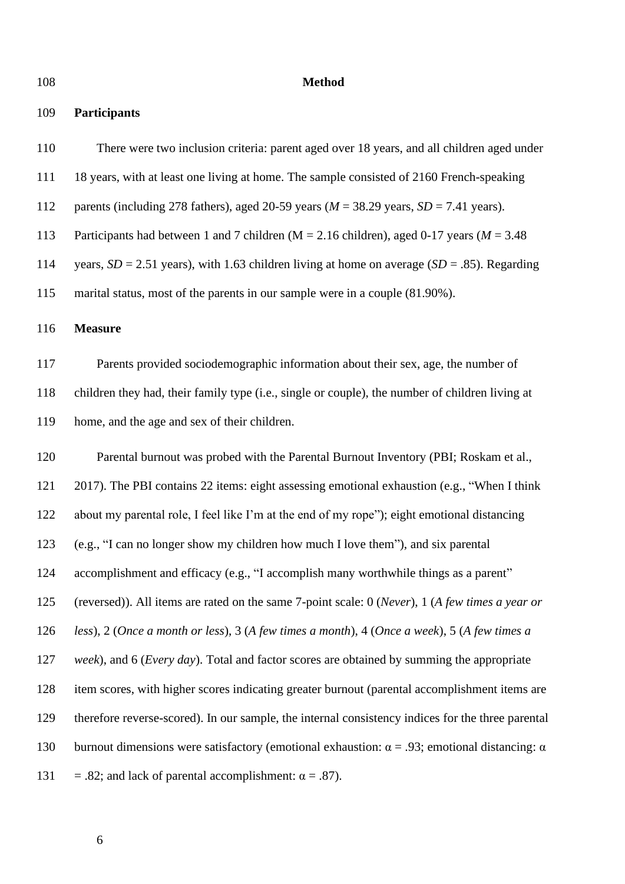# **Method**

# **Participants**

| 110 | There were two inclusion criteria: parent aged over 18 years, and all children aged under                   |
|-----|-------------------------------------------------------------------------------------------------------------|
| 111 | 18 years, with at least one living at home. The sample consisted of 2160 French-speaking                    |
| 112 | parents (including 278 fathers), aged 20-59 years ( $M = 38.29$ years, $SD = 7.41$ years).                  |
| 113 | Participants had between 1 and 7 children ( $M = 2.16$ children), aged 0-17 years ( $M = 3.48$              |
| 114 | years, $SD = 2.51$ years), with 1.63 children living at home on average ( $SD = .85$ ). Regarding           |
| 115 | marital status, most of the parents in our sample were in a couple (81.90%).                                |
| 116 | <b>Measure</b>                                                                                              |
| 117 | Parents provided sociodemographic information about their sex, age, the number of                           |
| 118 | children they had, their family type (i.e., single or couple), the number of children living at             |
| 119 | home, and the age and sex of their children.                                                                |
| 120 | Parental burnout was probed with the Parental Burnout Inventory (PBI; Roskam et al.,                        |
| 121 | 2017). The PBI contains 22 items: eight assessing emotional exhaustion (e.g., "When I think                 |
| 122 | about my parental role, I feel like I'm at the end of my rope"); eight emotional distancing                 |
| 123 | (e.g., "I can no longer show my children how much I love them"), and six parental                           |
| 124 | accomplishment and efficacy (e.g., "I accomplish many worthwhile things as a parent"                        |
| 125 | (reversed)). All items are rated on the same 7-point scale: 0 (Never), 1 (A few times a year or             |
| 126 | less), $2$ (Once a month or less), $3$ (A few times a month), $4$ (Once a week), $5$ (A few times a         |
| 127 | week), and 6 ( <i>Every day</i> ). Total and factor scores are obtained by summing the appropriate          |
| 128 | item scores, with higher scores indicating greater burnout (parental accomplishment items are               |
| 129 | therefore reverse-scored). In our sample, the internal consistency indices for the three parental           |
| 130 | burnout dimensions were satisfactory (emotional exhaustion: $\alpha = .93$ ; emotional distancing: $\alpha$ |
| 131 | = .82; and lack of parental accomplishment: $\alpha$ = .87).                                                |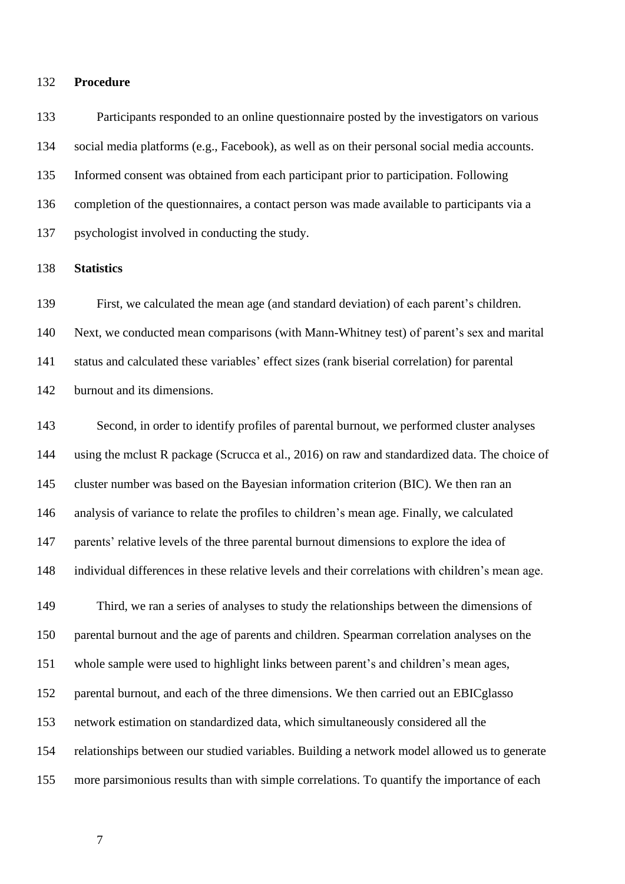#### **Procedure**

 Participants responded to an online questionnaire posted by the investigators on various social media platforms (e.g., Facebook), as well as on their personal social media accounts. Informed consent was obtained from each participant prior to participation. Following completion of the questionnaires, a contact person was made available to participants via a psychologist involved in conducting the study.

**Statistics**

 First, we calculated the mean age (and standard deviation) of each parent's children. Next, we conducted mean comparisons (with Mann-Whitney test) of parent's sex and marital status and calculated these variables' effect sizes (rank biserial correlation) for parental burnout and its dimensions.

 Second, in order to identify profiles of parental burnout, we performed cluster analyses using the mclust R package (Scrucca et al., 2016) on raw and standardized data. The choice of cluster number was based on the Bayesian information criterion (BIC). We then ran an analysis of variance to relate the profiles to children's mean age. Finally, we calculated parents' relative levels of the three parental burnout dimensions to explore the idea of individual differences in these relative levels and their correlations with children's mean age. Third, we ran a series of analyses to study the relationships between the dimensions of parental burnout and the age of parents and children. Spearman correlation analyses on the whole sample were used to highlight links between parent's and children's mean ages, parental burnout, and each of the three dimensions. We then carried out an EBICglasso network estimation on standardized data, which simultaneously considered all the relationships between our studied variables. Building a network model allowed us to generate more parsimonious results than with simple correlations. To quantify the importance of each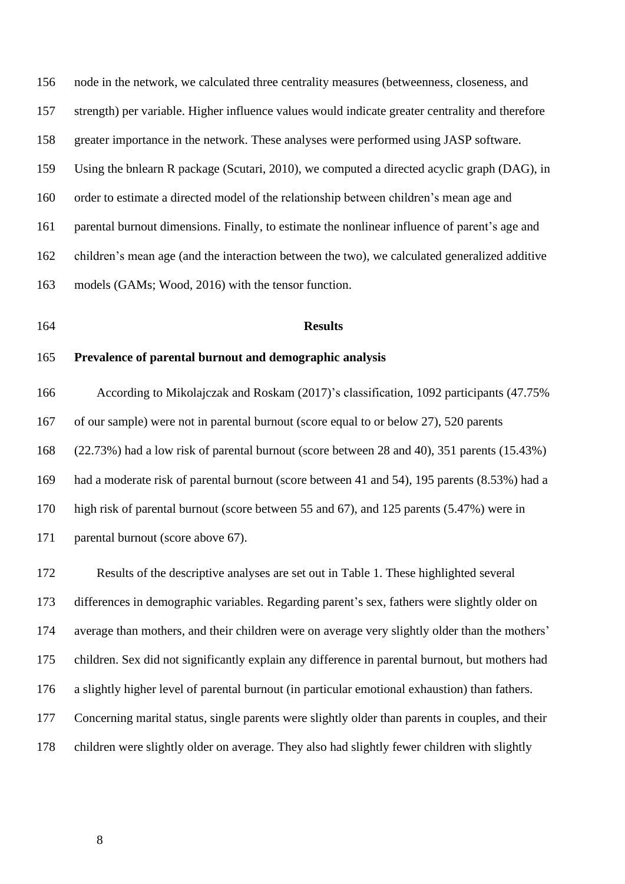node in the network, we calculated three centrality measures (betweenness, closeness, and strength) per variable. Higher influence values would indicate greater centrality and therefore greater importance in the network. These analyses were performed using JASP software. Using the bnlearn R package (Scutari, 2010), we computed a directed acyclic graph (DAG), in order to estimate a directed model of the relationship between children's mean age and parental burnout dimensions. Finally, to estimate the nonlinear influence of parent's age and children's mean age (and the interaction between the two), we calculated generalized additive models (GAMs; Wood, 2016) with the tensor function.

#### **Results**

# **Prevalence of parental burnout and demographic analysis**

 According to Mikolajczak and Roskam (2017)'s classification, 1092 participants (47.75% of our sample) were not in parental burnout (score equal to or below 27), 520 parents (22.73%) had a low risk of parental burnout (score between 28 and 40), 351 parents (15.43%) had a moderate risk of parental burnout (score between 41 and 54), 195 parents (8.53%) had a high risk of parental burnout (score between 55 and 67), and 125 parents (5.47%) were in parental burnout (score above 67).

 Results of the descriptive analyses are set out in Table 1. These highlighted several differences in demographic variables. Regarding parent's sex, fathers were slightly older on average than mothers, and their children were on average very slightly older than the mothers' children. Sex did not significantly explain any difference in parental burnout, but mothers had a slightly higher level of parental burnout (in particular emotional exhaustion) than fathers. Concerning marital status, single parents were slightly older than parents in couples, and their children were slightly older on average. They also had slightly fewer children with slightly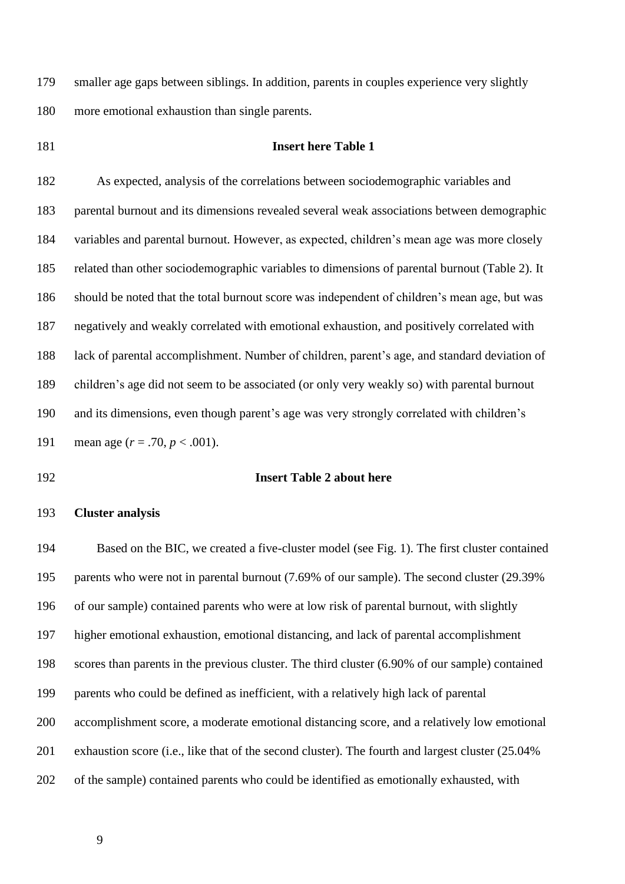smaller age gaps between siblings. In addition, parents in couples experience very slightly more emotional exhaustion than single parents.

# **Insert here Table 1**

 As expected, analysis of the correlations between sociodemographic variables and parental burnout and its dimensions revealed several weak associations between demographic variables and parental burnout. However, as expected, children's mean age was more closely related than other sociodemographic variables to dimensions of parental burnout (Table 2). It should be noted that the total burnout score was independent of children's mean age, but was negatively and weakly correlated with emotional exhaustion, and positively correlated with lack of parental accomplishment. Number of children, parent's age, and standard deviation of children's age did not seem to be associated (or only very weakly so) with parental burnout and its dimensions, even though parent's age was very strongly correlated with children's mean age (*r* = .70, *p* < .001).

#### **Insert Table 2 about here**

# **Cluster analysis**

 Based on the BIC, we created a five-cluster model (see Fig. 1). The first cluster contained parents who were not in parental burnout (7.69% of our sample). The second cluster (29.39% of our sample) contained parents who were at low risk of parental burnout, with slightly higher emotional exhaustion, emotional distancing, and lack of parental accomplishment scores than parents in the previous cluster. The third cluster (6.90% of our sample) contained parents who could be defined as inefficient, with a relatively high lack of parental accomplishment score, a moderate emotional distancing score, and a relatively low emotional exhaustion score (i.e., like that of the second cluster). The fourth and largest cluster (25.04% of the sample) contained parents who could be identified as emotionally exhausted, with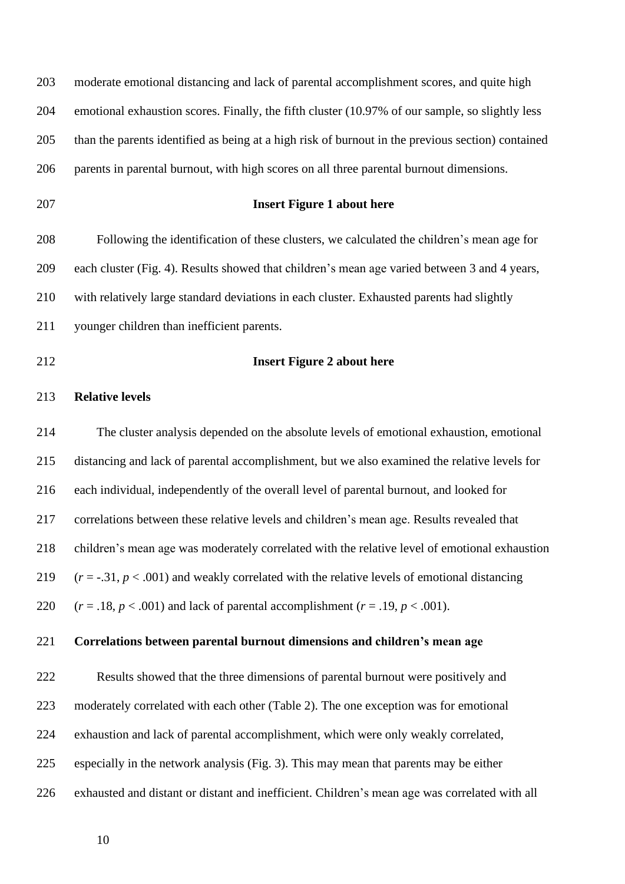| 203 | moderate emotional distancing and lack of parental accomplishment scores, and quite high          |
|-----|---------------------------------------------------------------------------------------------------|
| 204 | emotional exhaustion scores. Finally, the fifth cluster (10.97% of our sample, so slightly less   |
| 205 | than the parents identified as being at a high risk of burnout in the previous section) contained |
| 206 | parents in parental burnout, with high scores on all three parental burnout dimensions.           |
| 207 | <b>Insert Figure 1 about here</b>                                                                 |
| 208 | Following the identification of these clusters, we calculated the children's mean age for         |
| 209 | each cluster (Fig. 4). Results showed that children's mean age varied between 3 and 4 years,      |
| 210 | with relatively large standard deviations in each cluster. Exhausted parents had slightly         |
| 211 | younger children than inefficient parents.                                                        |
| 212 | <b>Insert Figure 2 about here</b>                                                                 |
| 213 | <b>Relative levels</b>                                                                            |
| 214 | The cluster analysis depended on the absolute levels of emotional exhaustion, emotional           |
| 215 | distancing and lack of parental accomplishment, but we also examined the relative levels for      |
| 216 | each individual, independently of the overall level of parental burnout, and looked for           |
| 217 | correlations between these relative levels and children's mean age. Results revealed that         |
| 218 | children's mean age was moderately correlated with the relative level of emotional exhaustion     |
| 219 | $(r = -.31, p < .001)$ and weakly correlated with the relative levels of emotional distancing     |
| 220 | $(r=.18, p < .001)$ and lack of parental accomplishment $(r=.19, p < .001)$ .                     |
| 221 | Correlations between parental burnout dimensions and children's mean age                          |
| 222 | Results showed that the three dimensions of parental burnout were positively and                  |
| 223 | moderately correlated with each other (Table 2). The one exception was for emotional              |
| 224 | exhaustion and lack of parental accomplishment, which were only weakly correlated,                |
| 225 | especially in the network analysis (Fig. 3). This may mean that parents may be either             |
| 226 | exhausted and distant or distant and inefficient. Children's mean age was correlated with all     |
|     |                                                                                                   |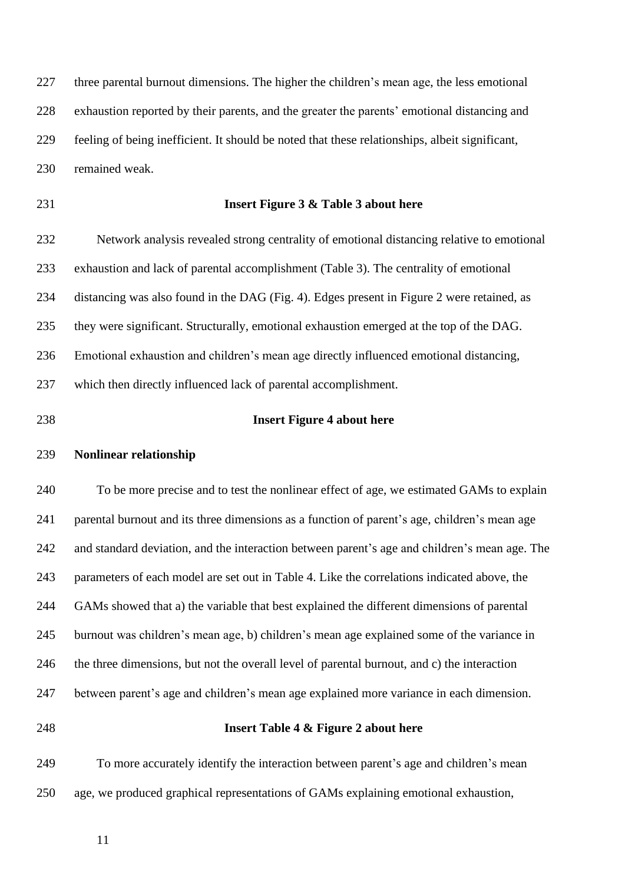three parental burnout dimensions. The higher the children's mean age, the less emotional exhaustion reported by their parents, and the greater the parents' emotional distancing and feeling of being inefficient. It should be noted that these relationships, albeit significant, remained weak.

# **Insert Figure 3 & Table 3 about here**

 Network analysis revealed strong centrality of emotional distancing relative to emotional exhaustion and lack of parental accomplishment (Table 3). The centrality of emotional distancing was also found in the DAG (Fig. 4). Edges present in Figure 2 were retained, as they were significant. Structurally, emotional exhaustion emerged at the top of the DAG. Emotional exhaustion and children's mean age directly influenced emotional distancing, which then directly influenced lack of parental accomplishment.

#### **Insert Figure 4 about here**

#### **Nonlinear relationship**

 To be more precise and to test the nonlinear effect of age, we estimated GAMs to explain parental burnout and its three dimensions as a function of parent's age, children's mean age and standard deviation, and the interaction between parent's age and children's mean age. The parameters of each model are set out in Table 4. Like the correlations indicated above, the GAMs showed that a) the variable that best explained the different dimensions of parental burnout was children's mean age, b) children's mean age explained some of the variance in the three dimensions, but not the overall level of parental burnout, and c) the interaction between parent's age and children's mean age explained more variance in each dimension.

# **Insert Table 4 & Figure 2 about here**

 To more accurately identify the interaction between parent's age and children's mean age, we produced graphical representations of GAMs explaining emotional exhaustion,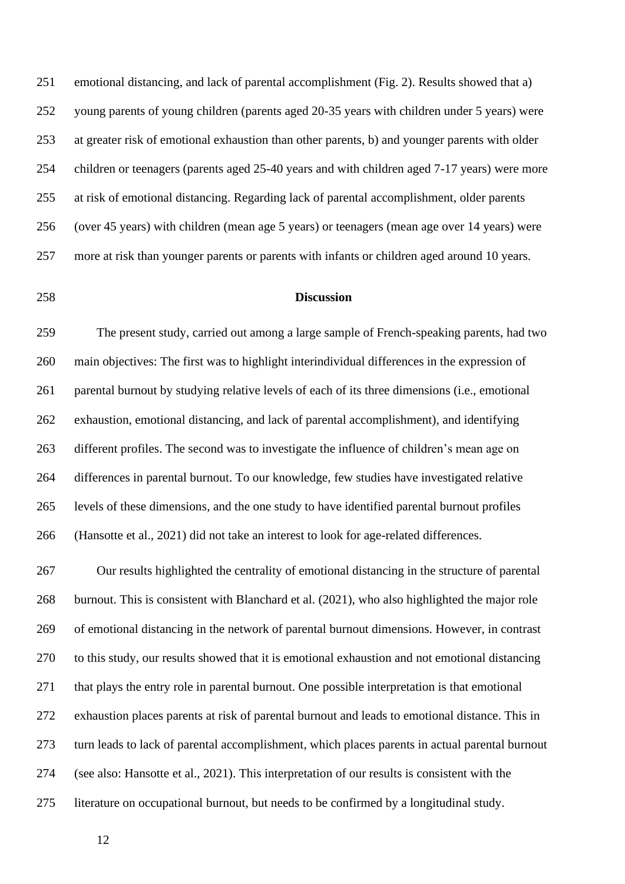emotional distancing, and lack of parental accomplishment (Fig. 2). Results showed that a) young parents of young children (parents aged 20-35 years with children under 5 years) were at greater risk of emotional exhaustion than other parents, b) and younger parents with older children or teenagers (parents aged 25-40 years and with children aged 7-17 years) were more at risk of emotional distancing. Regarding lack of parental accomplishment, older parents (over 45 years) with children (mean age 5 years) or teenagers (mean age over 14 years) were more at risk than younger parents or parents with infants or children aged around 10 years.

# **Discussion**

 The present study, carried out among a large sample of French-speaking parents, had two main objectives: The first was to highlight interindividual differences in the expression of parental burnout by studying relative levels of each of its three dimensions (i.e., emotional exhaustion, emotional distancing, and lack of parental accomplishment), and identifying different profiles. The second was to investigate the influence of children's mean age on differences in parental burnout. To our knowledge, few studies have investigated relative levels of these dimensions, and the one study to have identified parental burnout profiles (Hansotte et al., 2021) did not take an interest to look for age-related differences.

 Our results highlighted the centrality of emotional distancing in the structure of parental burnout. This is consistent with Blanchard et al. (2021), who also highlighted the major role of emotional distancing in the network of parental burnout dimensions. However, in contrast to this study, our results showed that it is emotional exhaustion and not emotional distancing that plays the entry role in parental burnout. One possible interpretation is that emotional exhaustion places parents at risk of parental burnout and leads to emotional distance. This in turn leads to lack of parental accomplishment, which places parents in actual parental burnout (see also: Hansotte et al., 2021). This interpretation of our results is consistent with the literature on occupational burnout, but needs to be confirmed by a longitudinal study.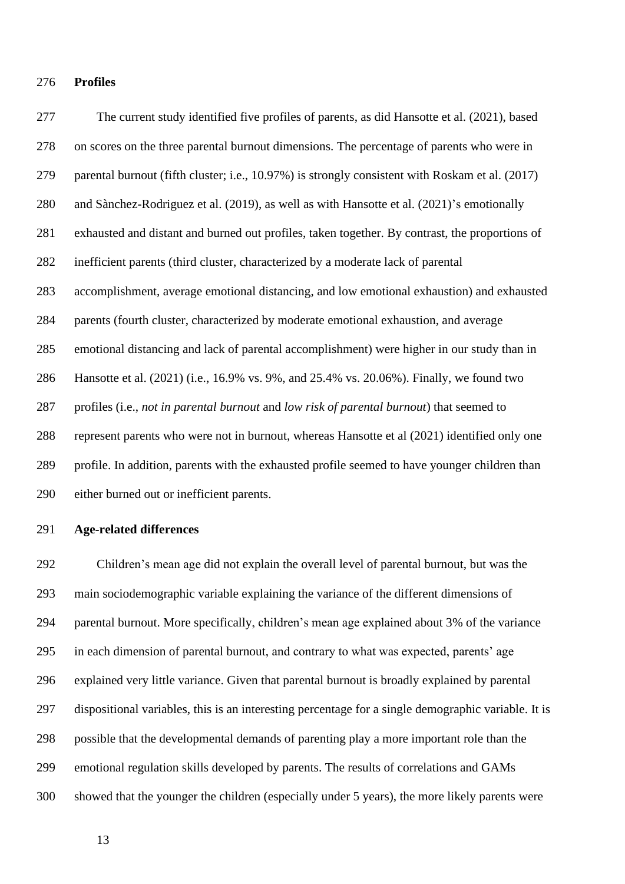#### **Profiles**

 The current study identified five profiles of parents, as did Hansotte et al. (2021), based on scores on the three parental burnout dimensions. The percentage of parents who were in parental burnout (fifth cluster; i.e., 10.97%) is strongly consistent with Roskam et al. (2017) and Sànchez-Rodriguez et al. (2019), as well as with Hansotte et al. (2021)'s emotionally exhausted and distant and burned out profiles, taken together. By contrast, the proportions of inefficient parents (third cluster, characterized by a moderate lack of parental accomplishment, average emotional distancing, and low emotional exhaustion) and exhausted parents (fourth cluster, characterized by moderate emotional exhaustion, and average emotional distancing and lack of parental accomplishment) were higher in our study than in Hansotte et al. (2021) (i.e., 16.9% vs. 9%, and 25.4% vs. 20.06%). Finally, we found two profiles (i.e., *not in parental burnout* and *low risk of parental burnout*) that seemed to represent parents who were not in burnout, whereas Hansotte et al (2021) identified only one profile. In addition, parents with the exhausted profile seemed to have younger children than either burned out or inefficient parents.

#### **Age-related differences**

 Children's mean age did not explain the overall level of parental burnout, but was the main sociodemographic variable explaining the variance of the different dimensions of parental burnout. More specifically, children's mean age explained about 3% of the variance in each dimension of parental burnout, and contrary to what was expected, parents' age explained very little variance. Given that parental burnout is broadly explained by parental dispositional variables, this is an interesting percentage for a single demographic variable. It is possible that the developmental demands of parenting play a more important role than the emotional regulation skills developed by parents. The results of correlations and GAMs showed that the younger the children (especially under 5 years), the more likely parents were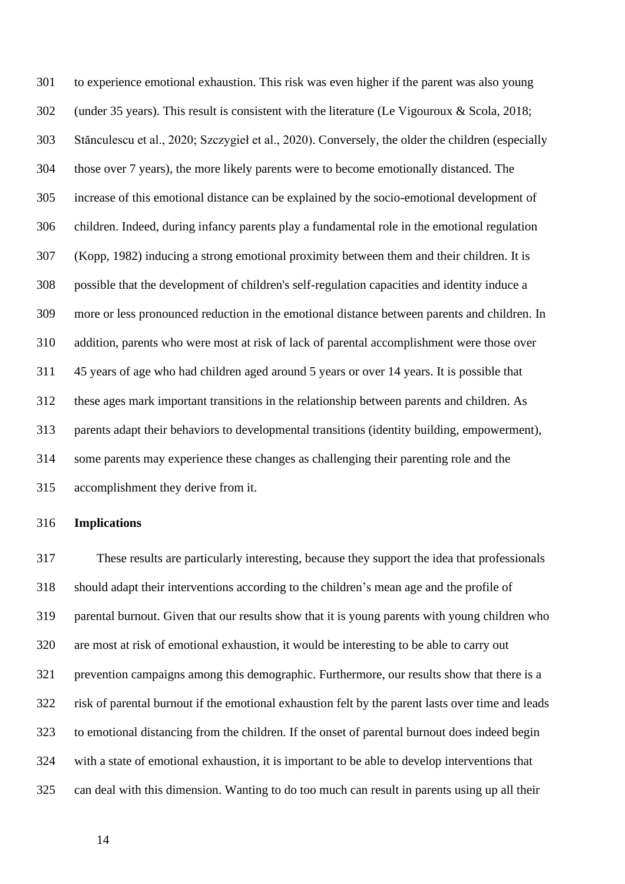to experience emotional exhaustion. This risk was even higher if the parent was also young (under 35 years). This result is consistent with the literature (Le Vigouroux & Scola, 2018; Stănculescu et al., 2020; Szczygieł et al., 2020). Conversely, the older the children (especially those over 7 years), the more likely parents were to become emotionally distanced. The increase of this emotional distance can be explained by the socio-emotional development of children. Indeed, during infancy parents play a fundamental role in the emotional regulation (Kopp, 1982) inducing a strong emotional proximity between them and their children. It is possible that the development of children's self-regulation capacities and identity induce a more or less pronounced reduction in the emotional distance between parents and children. In addition, parents who were most at risk of lack of parental accomplishment were those over 45 years of age who had children aged around 5 years or over 14 years. It is possible that these ages mark important transitions in the relationship between parents and children. As parents adapt their behaviors to developmental transitions (identity building, empowerment), some parents may experience these changes as challenging their parenting role and the accomplishment they derive from it.

# **Implications**

 These results are particularly interesting, because they support the idea that professionals should adapt their interventions according to the children's mean age and the profile of parental burnout. Given that our results show that it is young parents with young children who are most at risk of emotional exhaustion, it would be interesting to be able to carry out prevention campaigns among this demographic. Furthermore, our results show that there is a risk of parental burnout if the emotional exhaustion felt by the parent lasts over time and leads to emotional distancing from the children. If the onset of parental burnout does indeed begin with a state of emotional exhaustion, it is important to be able to develop interventions that can deal with this dimension. Wanting to do too much can result in parents using up all their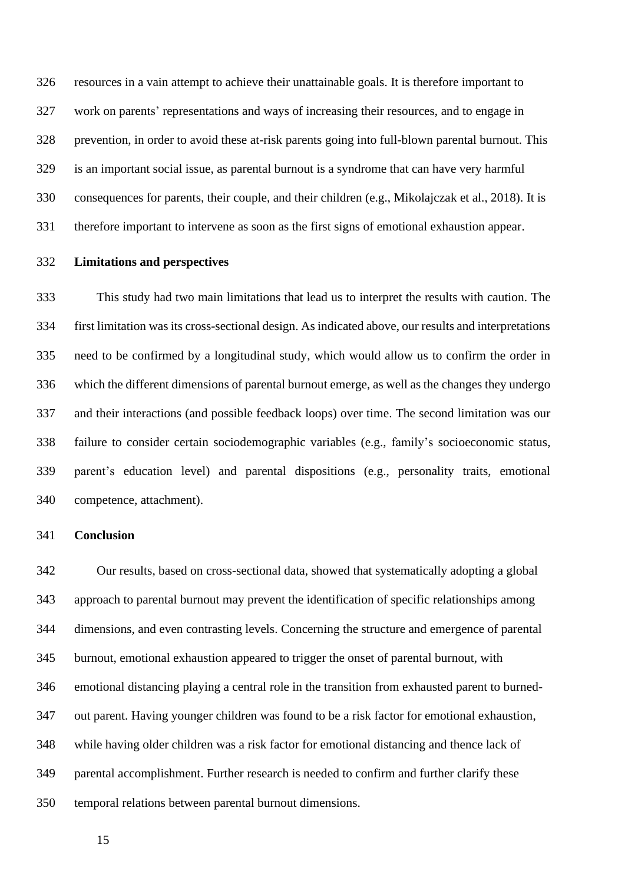resources in a vain attempt to achieve their unattainable goals. It is therefore important to work on parents' representations and ways of increasing their resources, and to engage in prevention, in order to avoid these at-risk parents going into full-blown parental burnout. This is an important social issue, as parental burnout is a syndrome that can have very harmful consequences for parents, their couple, and their children (e.g., Mikolajczak et al., 2018). It is therefore important to intervene as soon as the first signs of emotional exhaustion appear.

#### **Limitations and perspectives**

 This study had two main limitations that lead us to interpret the results with caution. The first limitation was its cross-sectional design. As indicated above, our results and interpretations need to be confirmed by a longitudinal study, which would allow us to confirm the order in which the different dimensions of parental burnout emerge, as well as the changes they undergo and their interactions (and possible feedback loops) over time. The second limitation was our failure to consider certain sociodemographic variables (e.g., family's socioeconomic status, parent's education level) and parental dispositions (e.g., personality traits, emotional competence, attachment).

#### **Conclusion**

 Our results, based on cross-sectional data, showed that systematically adopting a global approach to parental burnout may prevent the identification of specific relationships among dimensions, and even contrasting levels. Concerning the structure and emergence of parental burnout, emotional exhaustion appeared to trigger the onset of parental burnout, with emotional distancing playing a central role in the transition from exhausted parent to burned- out parent. Having younger children was found to be a risk factor for emotional exhaustion, while having older children was a risk factor for emotional distancing and thence lack of parental accomplishment. Further research is needed to confirm and further clarify these temporal relations between parental burnout dimensions.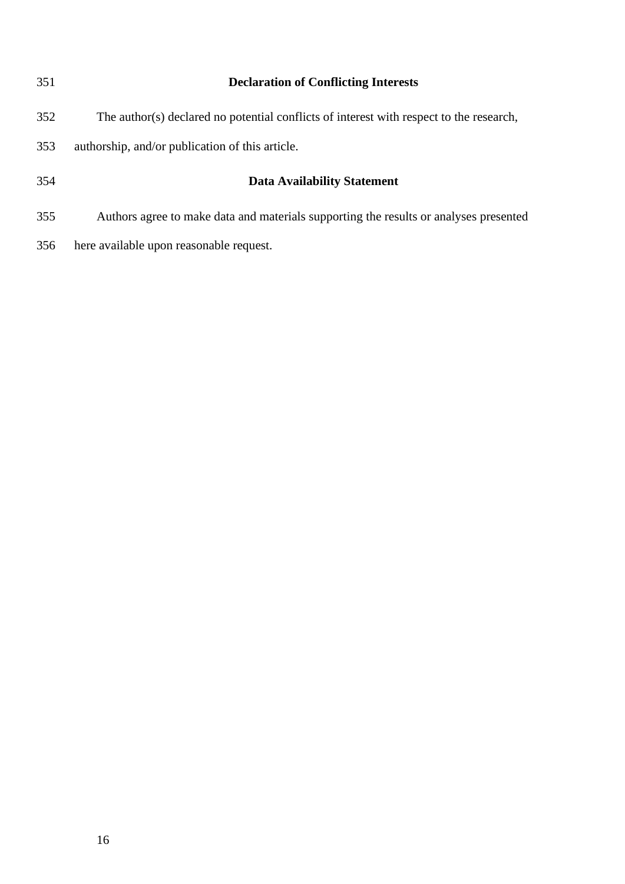| 351 | <b>Declaration of Conflicting Interests</b>                                             |
|-----|-----------------------------------------------------------------------------------------|
| 352 | The author(s) declared no potential conflicts of interest with respect to the research, |
| 353 | authorship, and/or publication of this article.                                         |
| 354 | <b>Data Availability Statement</b>                                                      |
| 355 | Authors agree to make data and materials supporting the results or analyses presented   |
| 356 | here available upon reasonable request.                                                 |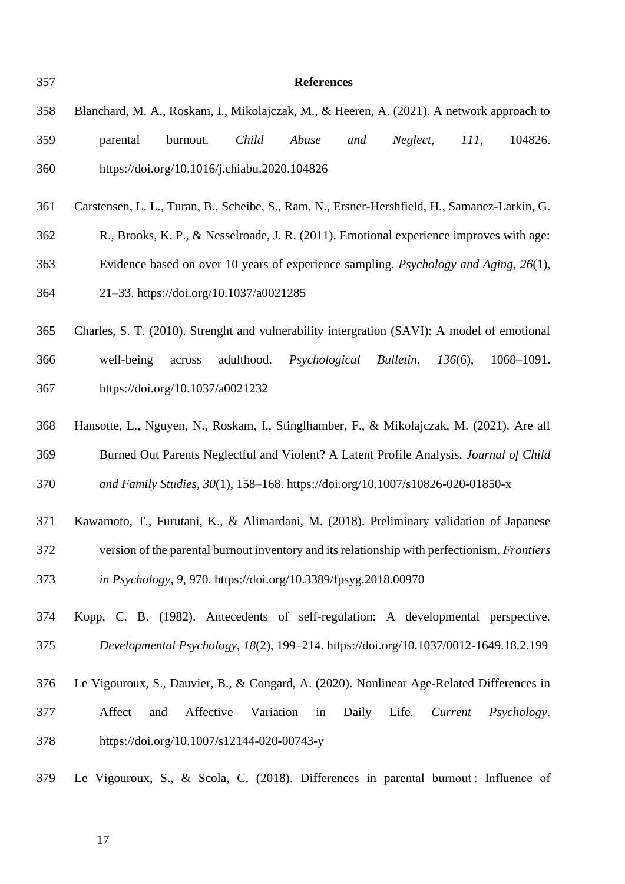| 357 | <b>References</b>                                                                             |
|-----|-----------------------------------------------------------------------------------------------|
| 358 | Blanchard, M. A., Roskam, I., Mikolajczak, M., & Heeren, A. (2021). A network approach to     |
| 359 | Child<br>Abuse<br>Neglect,<br>III,<br>104826.<br>parental<br>burnout.<br>and                  |
| 360 | https://doi.org/10.1016/j.chiabu.2020.104826                                                  |
| 361 | Carstensen, L. L., Turan, B., Scheibe, S., Ram, N., Ersner-Hershfield, H., Samanez-Larkin, G. |
| 362 | R., Brooks, K. P., & Nesselroade, J. R. (2011). Emotional experience improves with age:       |
| 363 | Evidence based on over 10 years of experience sampling. <i>Psychology and Aging</i> , 26(1),  |
| 364 | 21-33. https://doi.org/10.1037/a0021285                                                       |
| 365 | Charles, S. T. (2010). Strenght and vulnerability intergration (SAVI): A model of emotional   |
| 366 | adulthood.<br>1068-1091.<br>well-being<br>Psychological<br>Bulletin,<br>$136(6)$ ,<br>across  |
| 367 | https://doi.org/10.1037/a0021232                                                              |
| 368 | Hansotte, L., Nguyen, N., Roskam, I., Stinglhamber, F., & Mikolajczak, M. (2021). Are all     |
| 369 | Burned Out Parents Neglectful and Violent? A Latent Profile Analysis. Journal of Child        |
| 370 | and Family Studies, 30(1), 158-168. https://doi.org/10.1007/s10826-020-01850-x                |
| 371 | Kawamoto, T., Furutani, K., & Alimardani, M. (2018). Preliminary validation of Japanese       |
| 372 | version of the parental burnout inventory and its relationship with perfectionism. Frontiers  |
| 373 | in Psychology, 9, 970. https://doi.org/10.3389/fpsyg.2018.00970                               |
| 374 | Kopp, C. B. (1982). Antecedents of self-regulation: A developmental perspective.              |
| 375 | Developmental Psychology, 18(2), 199-214. https://doi.org/10.1037/0012-1649.18.2.199          |
| 376 | Le Vigouroux, S., Dauvier, B., & Congard, A. (2020). Nonlinear Age-Related Differences in     |
| 377 | Affect<br>Affective<br>Variation<br>Daily<br>Life.<br>in<br>Current<br>Psychology.<br>and     |
| 378 | https://doi.org/10.1007/s12144-020-00743-y                                                    |
| 379 | Le Vigouroux, S., & Scola, C. (2018). Differences in parental burnout: Influence of           |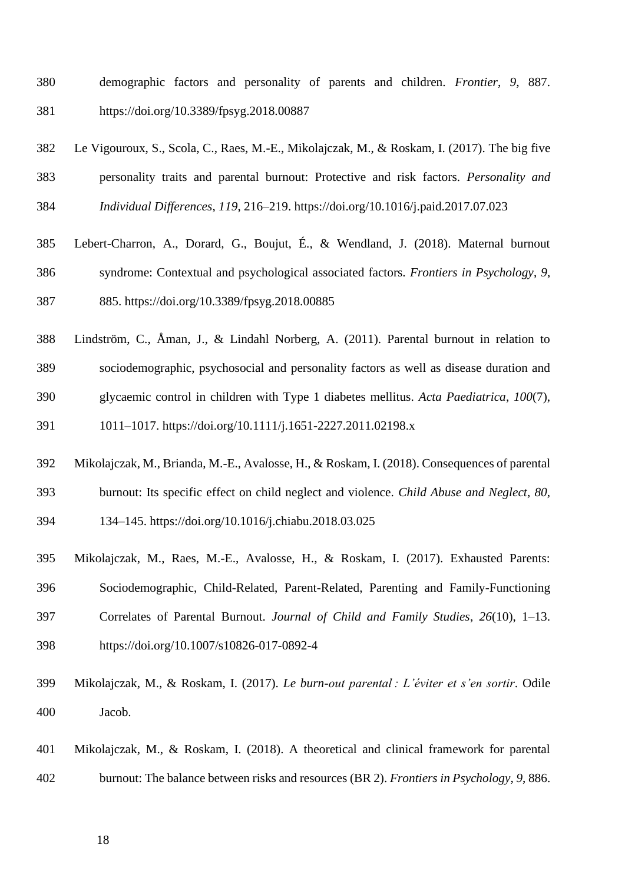- demographic factors and personality of parents and children. *Frontier*, *9*, 887. https://doi.org/10.3389/fpsyg.2018.00887
- Le Vigouroux, S., Scola, C., Raes, M.-E., Mikolajczak, M., & Roskam, I. (2017). The big five personality traits and parental burnout: Protective and risk factors. *Personality and Individual Differences*, *119*, 216–219. https://doi.org/10.1016/j.paid.2017.07.023
- Lebert-Charron, A., Dorard, G., Boujut, É., & Wendland, J. (2018). Maternal burnout syndrome: Contextual and psychological associated factors. *Frontiers in Psychology*, *9*, 885. https://doi.org/10.3389/fpsyg.2018.00885
- Lindström, C., Åman, J., & Lindahl Norberg, A. (2011). Parental burnout in relation to
- sociodemographic, psychosocial and personality factors as well as disease duration and
- glycaemic control in children with Type 1 diabetes mellitus. *Acta Paediatrica*, *100*(7),
- 1011–1017. https://doi.org/10.1111/j.1651-2227.2011.02198.x
- Mikolajczak, M., Brianda, M.-E., Avalosse, H., & Roskam, I. (2018). Consequences of parental

burnout: Its specific effect on child neglect and violence. *Child Abuse and Neglect*, *80*,

- 
- 134–145. https://doi.org/10.1016/j.chiabu.2018.03.025
- Mikolajczak, M., Raes, M.-E., Avalosse, H., & Roskam, I. (2017). Exhausted Parents: Sociodemographic, Child-Related, Parent-Related, Parenting and Family-Functioning Correlates of Parental Burnout. *Journal of Child and Family Studies*, *26*(10), 1–13. https://doi.org/10.1007/s10826-017-0892-4
- Mikolajczak, M., & Roskam, I. (2017). *Le burn-out parental : L'éviter et s'en sortir*. Odile Jacob.
- Mikolajczak, M., & Roskam, I. (2018). A theoretical and clinical framework for parental burnout: The balance between risks and resources (BR 2). *Frontiers in Psychology*, *9*, 886.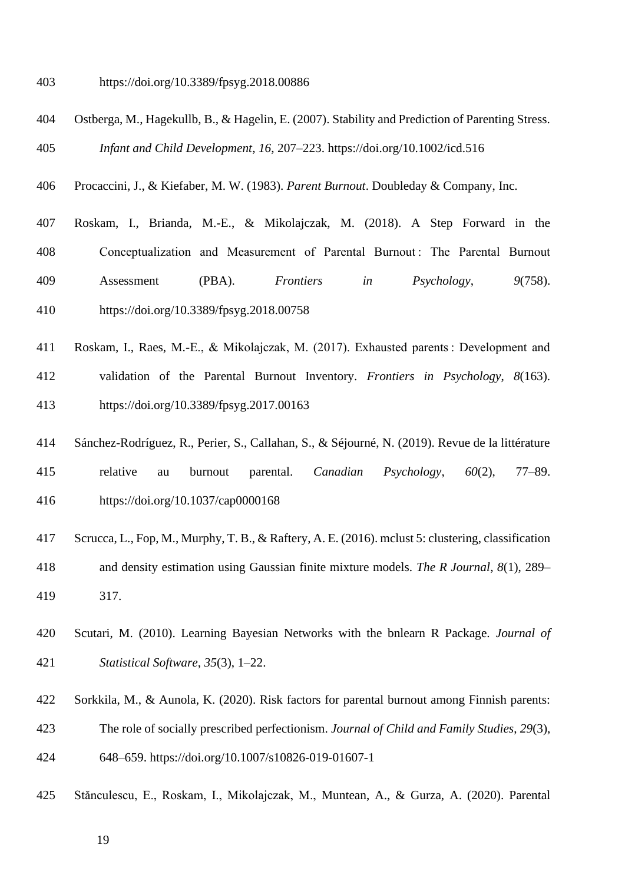https://doi.org/10.3389/fpsyg.2018.00886

- Ostberga, M., Hagekullb, B., & Hagelin, E. (2007). Stability and Prediction of Parenting Stress. *Infant and Child Development*, *16*, 207–223. https://doi.org/10.1002/icd.516
- Procaccini, J., & Kiefaber, M. W. (1983). *Parent Burnout*. Doubleday & Company, Inc.
- Roskam, I., Brianda, M.-E., & Mikolajczak, M. (2018). A Step Forward in the Conceptualization and Measurement of Parental Burnout : The Parental Burnout Assessment (PBA). *Frontiers in Psychology*, *9*(758). https://doi.org/10.3389/fpsyg.2018.00758
- Roskam, I., Raes, M.-E., & Mikolajczak, M. (2017). Exhausted parents : Development and validation of the Parental Burnout Inventory. *Frontiers in Psychology*, *8*(163). https://doi.org/10.3389/fpsyg.2017.00163
- Sánchez-Rodríguez, R., Perier, S., Callahan, S., & Séjourné, N. (2019). Revue de la littérature relative au burnout parental. *Canadian Psychology*, *60*(2), 77–89. https://doi.org/10.1037/cap0000168
- Scrucca, L., Fop, M., Murphy, T. B., & Raftery, A. E. (2016). mclust 5: clustering, classification and density estimation using Gaussian finite mixture models. *The R Journal*, *8*(1), 289– 317.
- Scutari, M. (2010). Learning Bayesian Networks with the bnlearn R Package. *Journal of Statistical Software*, *35*(3), 1–22.
- Sorkkila, M., & Aunola, K. (2020). Risk factors for parental burnout among Finnish parents:
- The role of socially prescribed perfectionism. *Journal of Child and Family Studies*, *29*(3),

648–659. https://doi.org/10.1007/s10826-019-01607-1

- Stănculescu, E., Roskam, I., Mikolajczak, M., Muntean, A., & Gurza, A. (2020). Parental
	-